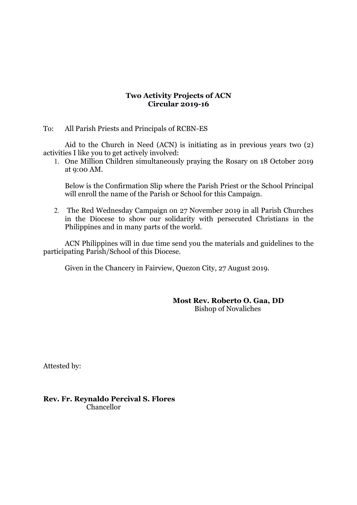## **Two Activity Projects of ACN Circular 2019-16**

## To: All Parish Priests and Principals of RCBN-ES

Aid to the Church in Need (ACN) is initiating as in previous years two (2) activities I like you to get actively involved:

1. One Million Children simultaneously praying the Rosary on 18 October 2019 at 9:00 AM.

Below is the Confirmation Slip where the Parish Priest or the School Principal will enroll the name of the Parish or School for this Campaign.

2. The Red Wednesday Campaign on 27 November 2019 in all Parish Churches in the Diocese to show our solidarity with persecuted Christians in the Philippines and in many parts of the world.

ACN Philippines will in due time send you the materials and guidelines to the participating Parish/School of this Diocese.

Given in the Chancery in Fairview, Quezon City, 27 August 2019.

**Most Rev. Roberto O. Gaa, DD** Bishop of Novaliches

Attested by:

**Rev. Fr. Reynaldo Percival S. Flores** Chancellor